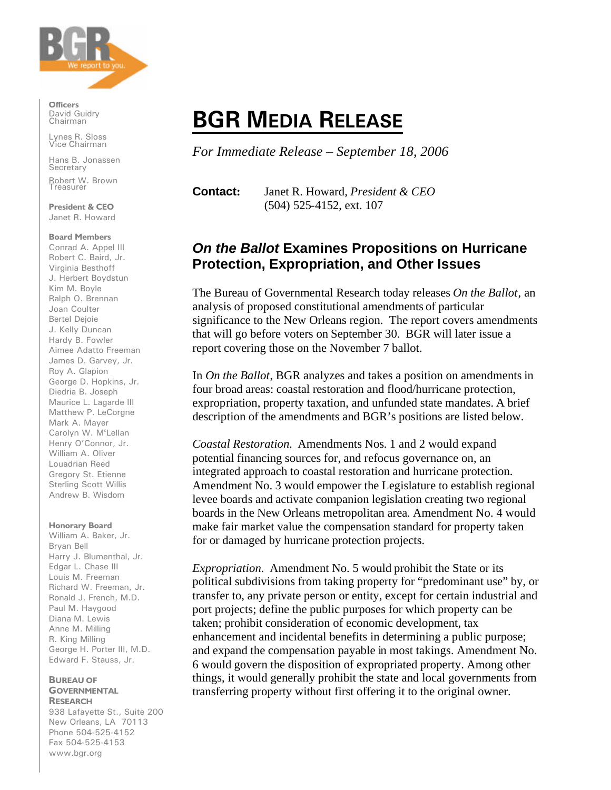

**Officers** David Guidry Chairman

Lynes R. Sloss Vice Chairman

Hans B. Jonassen **Secretary** Robert W. Brown **Treasurer** 

**President & CEO** Janet R. Howard

#### **Board Members**

Conrad A. Appel III Robert C. Baird, Jr. Virginia Besthoff J. Herbert Boydstun Kim M. Boyle Ralph O. Brennan Joan Coulter Bertel Dejoie J. Kelly Duncan Hardy B. Fowler Aimee Adatto Freeman James D. Garvey, Jr. Roy A. Glapion George D. Hopkins, Jr. Diedria B. Joseph Maurice L. Lagarde III Matthew P. LeCorgne Mark A. Mayer Carolyn W. M<sup>c</sup>Lellan Henry O'Connor, Jr. William A. Oliver Louadrian Reed Gregory St. Etienne Sterling Scott Willis Andrew B. Wisdom

### **Honorary Board**

William A. Baker, Jr. Bryan Bell Harry J. Blumenthal, Jr. Edgar L. Chase III Louis M. Freeman Richard W. Freeman, Jr. Ronald J. French, M.D. Paul M. Haygood Diana M. Lewis Anne M. Milling R. King Milling George H. Porter III, M.D. Edward F. Stauss, Jr.

#### **BUREAU OF GOVERNMENTAL RESEARCH**

938 Lafayette St., Suite 200 New Orleans, LA 70113 Phone 504-525-4152 Fax 504-525-4153 www.bgr.org

# **BGR MEDIA RELEASE**

*For Immediate Release – September 18, 2006*

**Contact:** Janet R. Howard, *President & CEO* (504) 525-4152, ext. 107

## *On the Ballot* **Examines Propositions on Hurricane Protection, Expropriation, and Other Issues**

The Bureau of Governmental Research today releases *On the Ballot*, an analysis of proposed constitutional amendments of particular significance to the New Orleans region. The report covers amendments that will go before voters on September 30. BGR will later issue a report covering those on the November 7 ballot.

In *On the Ballot*, BGR analyzes and takes a position on amendments in four broad areas: coastal restoration and flood/hurricane protection, expropriation, property taxation, and unfunded state mandates. A brief description of the amendments and BGR's positions are listed below.

*Coastal Restoration.* Amendments Nos. 1 and 2 would expand potential financing sources for, and refocus governance on, an integrated approach to coastal restoration and hurricane protection. Amendment No. 3 would empower the Legislature to establish regional levee boards and activate companion legislation creating two regional boards in the New Orleans metropolitan area. Amendment No. 4 would make fair market value the compensation standard for property taken for or damaged by hurricane protection projects.

*Expropriation.* Amendment No. 5 would prohibit the State or its political subdivisions from taking property for "predominant use" by, or transfer to, any private person or entity, except for certain industrial and port projects; define the public purposes for which property can be taken; prohibit consideration of economic development, tax enhancement and incidental benefits in determining a public purpose; and expand the compensation payable in most takings. Amendment No. 6 would govern the disposition of expropriated property. Among other things, it would generally prohibit the state and local governments from transferring property without first offering it to the original owner.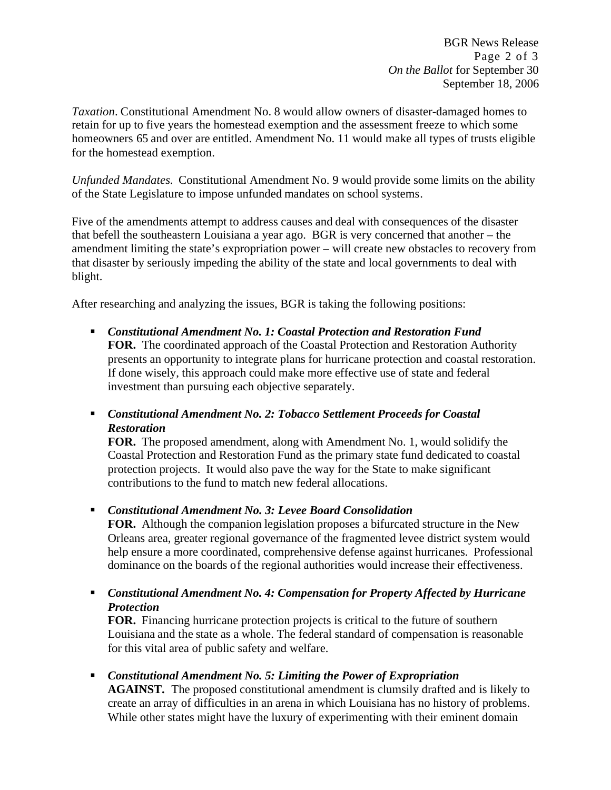BGR News Release Page 2 of 3 *On the Ballot* for September 30 September 18, 2006

*Taxation*. Constitutional Amendment No. 8 would allow owners of disaster-damaged homes to retain for up to five years the homestead exemption and the assessment freeze to which some homeowners 65 and over are entitled. Amendment No. 11 would make all types of trusts eligible for the homestead exemption.

*Unfunded Mandates.* Constitutional Amendment No. 9 would provide some limits on the ability of the State Legislature to impose unfunded mandates on school systems.

Five of the amendments attempt to address causes and deal with consequences of the disaster that befell the southeastern Louisiana a year ago. BGR is very concerned that another – the amendment limiting the state's expropriation power – will create new obstacles to recovery from that disaster by seriously impeding the ability of the state and local governments to deal with blight.

After researching and analyzing the issues, BGR is taking the following positions:

- **EXECT:** Constitutional Amendment No. 1: Coastal Protection and Restoration Fund **FOR.** The coordinated approach of the Coastal Protection and Restoration Authority presents an opportunity to integrate plans for hurricane protection and coastal restoration. If done wisely, this approach could make more effective use of state and federal investment than pursuing each objective separately.
- **Example 2 Constitutional Amendment No. 2: Tobacco Settlement Proceeds for Coastal** *Restoration*

**FOR.** The proposed amendment, along with Amendment No. 1, would solidify the Coastal Protection and Restoration Fund as the primary state fund dedicated to coastal protection projects. It would also pave the way for the State to make significant contributions to the fund to match new federal allocations.

ß *Constitutional Amendment No. 3: Levee Board Consolidation*

**FOR.** Although the companion legislation proposes a bifurcated structure in the New Orleans area, greater regional governance of the fragmented levee district system would help ensure a more coordinated, comprehensive defense against hurricanes. Professional dominance on the boards of the regional authorities would increase their effectiveness.

**• Constitutional Amendment No. 4: Compensation for Property Affected by Hurricane** *Protection*

**FOR.** Financing hurricane protection projects is critical to the future of southern Louisiana and the state as a whole. The federal standard of compensation is reasonable for this vital area of public safety and welfare.

■ *Constitutional Amendment No. 5: Limiting the Power of Expropriation* 

**AGAINST.** The proposed constitutional amendment is clumsily drafted and is likely to create an array of difficulties in an arena in which Louisiana has no history of problems. While other states might have the luxury of experimenting with their eminent domain